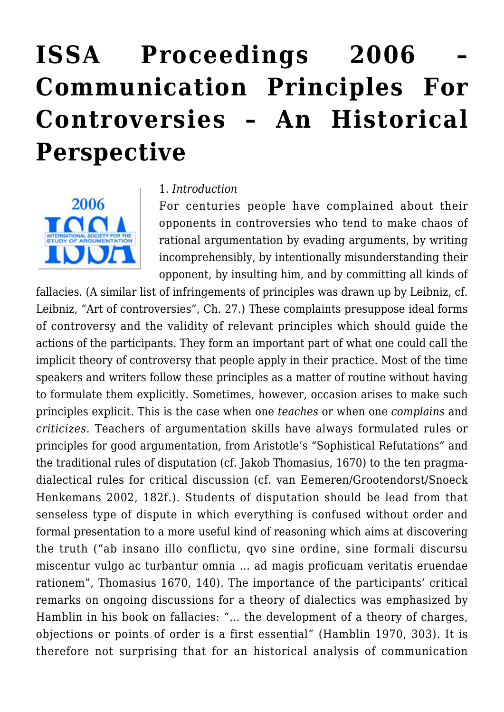# **[ISSA Proceedings 2006 –](https://rozenbergquarterly.com/issa-proceedings-2006-communication-principles-for-controversies-an-historical-perspective/) [Communication Principles For](https://rozenbergquarterly.com/issa-proceedings-2006-communication-principles-for-controversies-an-historical-perspective/) [Controversies – An Historical](https://rozenbergquarterly.com/issa-proceedings-2006-communication-principles-for-controversies-an-historical-perspective/) [Perspective](https://rozenbergquarterly.com/issa-proceedings-2006-communication-principles-for-controversies-an-historical-perspective/)**



#### 1. *Introduction*

For centuries people have complained about their opponents in controversies who tend to make chaos of rational argumentation by evading arguments, by writing incomprehensibly, by intentionally misunderstanding their opponent, by insulting him, and by committing all kinds of

fallacies. (A similar list of infringements of principles was drawn up by Leibniz, cf. Leibniz, "Art of controversies", Ch. 27.) These complaints presuppose ideal forms of controversy and the validity of relevant principles which should guide the actions of the participants. They form an important part of what one could call the implicit theory of controversy that people apply in their practice. Most of the time speakers and writers follow these principles as a matter of routine without having to formulate them explicitly. Sometimes, however, occasion arises to make such principles explicit. This is the case when one *teaches* or when one *complains* and *criticizes*. Teachers of argumentation skills have always formulated rules or principles for good argumentation, from Aristotle's "Sophistical Refutations" and the traditional rules of disputation (cf. Jakob Thomasius, 1670) to the ten pragmadialectical rules for critical discussion (cf. van Eemeren/Grootendorst/Snoeck Henkemans 2002, 182f.). Students of disputation should be lead from that senseless type of dispute in which everything is confused without order and formal presentation to a more useful kind of reasoning which aims at discovering the truth ("ab insano illo conflictu, qvo sine ordine, sine formali discursu miscentur vulgo ac turbantur omnia … ad magis proficuam veritatis eruendae rationem", Thomasius 1670, 140). The importance of the participants' critical remarks on ongoing discussions for a theory of dialectics was emphasized by Hamblin in his book on fallacies: "… the development of a theory of charges, objections or points of order is a first essential" (Hamblin 1970, 303). It is therefore not surprising that for an historical analysis of communication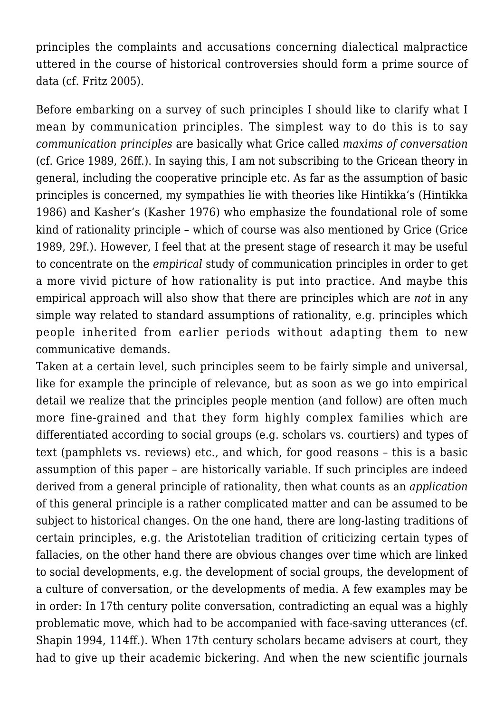principles the complaints and accusations concerning dialectical malpractice uttered in the course of historical controversies should form a prime source of data (cf. Fritz 2005).

Before embarking on a survey of such principles I should like to clarify what I mean by communication principles. The simplest way to do this is to say *communication principles* are basically what Grice called *maxims of conversation* (cf. Grice 1989, 26ff.). In saying this, I am not subscribing to the Gricean theory in general, including the cooperative principle etc. As far as the assumption of basic principles is concerned, my sympathies lie with theories like Hintikka's (Hintikka 1986) and Kasher's (Kasher 1976) who emphasize the foundational role of some kind of rationality principle – which of course was also mentioned by Grice (Grice 1989, 29f.). However, I feel that at the present stage of research it may be useful to concentrate on the *empirical* study of communication principles in order to get a more vivid picture of how rationality is put into practice. And maybe this empirical approach will also show that there are principles which are *not* in any simple way related to standard assumptions of rationality, e.g. principles which people inherited from earlier periods without adapting them to new communicative demands.

Taken at a certain level, such principles seem to be fairly simple and universal, like for example the principle of relevance, but as soon as we go into empirical detail we realize that the principles people mention (and follow) are often much more fine-grained and that they form highly complex families which are differentiated according to social groups (e.g. scholars vs. courtiers) and types of text (pamphlets vs. reviews) etc., and which, for good reasons – this is a basic assumption of this paper – are historically variable. If such principles are indeed derived from a general principle of rationality, then what counts as an *application* of this general principle is a rather complicated matter and can be assumed to be subject to historical changes. On the one hand, there are long-lasting traditions of certain principles, e.g. the Aristotelian tradition of criticizing certain types of fallacies, on the other hand there are obvious changes over time which are linked to social developments, e.g. the development of social groups, the development of a culture of conversation, or the developments of media. A few examples may be in order: In 17th century polite conversation, contradicting an equal was a highly problematic move, which had to be accompanied with face-saving utterances (cf. Shapin 1994, 114ff.). When 17th century scholars became advisers at court, they had to give up their academic bickering. And when the new scientific journals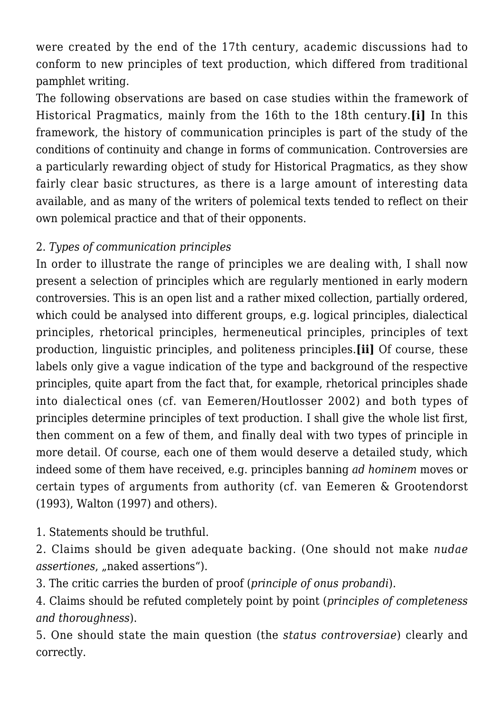were created by the end of the 17th century, academic discussions had to conform to new principles of text production, which differed from traditional pamphlet writing.

The following observations are based on case studies within the framework of Historical Pragmatics, mainly from the 16th to the 18th century.**[i]** In this framework, the history of communication principles is part of the study of the conditions of continuity and change in forms of communication. Controversies are a particularly rewarding object of study for Historical Pragmatics, as they show fairly clear basic structures, as there is a large amount of interesting data available, and as many of the writers of polemical texts tended to reflect on their own polemical practice and that of their opponents.

# 2. *Types of communication principles*

In order to illustrate the range of principles we are dealing with, I shall now present a selection of principles which are regularly mentioned in early modern controversies. This is an open list and a rather mixed collection, partially ordered, which could be analysed into different groups, e.g. logical principles, dialectical principles, rhetorical principles, hermeneutical principles, principles of text production, linguistic principles, and politeness principles.**[ii]** Of course, these labels only give a vague indication of the type and background of the respective principles, quite apart from the fact that, for example, rhetorical principles shade into dialectical ones (cf. van Eemeren/Houtlosser 2002) and both types of principles determine principles of text production. I shall give the whole list first, then comment on a few of them, and finally deal with two types of principle in more detail. Of course, each one of them would deserve a detailed study, which indeed some of them have received, e.g. principles banning *ad hominem* moves or certain types of arguments from authority (cf. van Eemeren & Grootendorst (1993), Walton (1997) and others).

1. Statements should be truthful.

2. Claims should be given adequate backing. (One should not make *nudae assertiones*, "naked assertions").

3. The critic carries the burden of proof (*principle of onus probandi*).

4. Claims should be refuted completely point by point (*principles of completeness and thoroughness*).

5. One should state the main question (the *status controversiae*) clearly and correctly.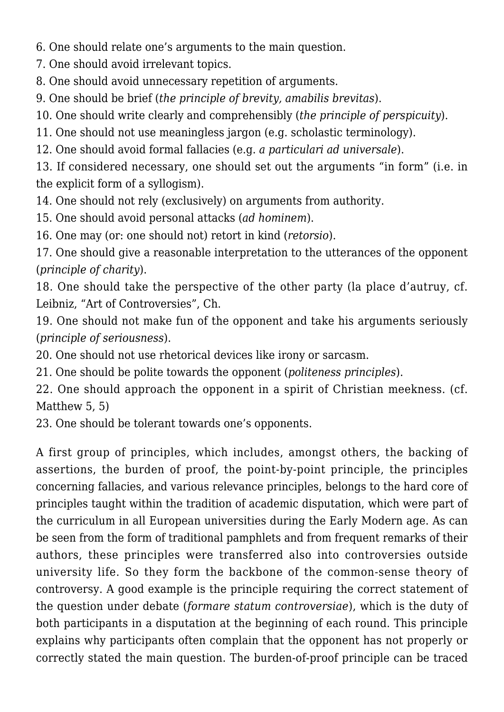6. One should relate one's arguments to the main question.

7. One should avoid irrelevant topics.

8. One should avoid unnecessary repetition of arguments.

9. One should be brief (*the principle of brevity, amabilis brevitas*).

10. One should write clearly and comprehensibly (*the principle of perspicuity*).

11. One should not use meaningless jargon (e.g. scholastic terminology).

12. One should avoid formal fallacies (e.g. *a particulari ad universale*).

13. If considered necessary, one should set out the arguments "in form" (i.e. in the explicit form of a syllogism).

14. One should not rely (exclusively) on arguments from authority.

15. One should avoid personal attacks (*ad hominem*).

16. One may (or: one should not) retort in kind (*retorsio*).

17. One should give a reasonable interpretation to the utterances of the opponent (*principle of charity*).

18. One should take the perspective of the other party (la place d'autruy, cf. Leibniz, "Art of Controversies", Ch.

19. One should not make fun of the opponent and take his arguments seriously (*principle of seriousness*).

20. One should not use rhetorical devices like irony or sarcasm.

21. One should be polite towards the opponent (*politeness principles*).

22. One should approach the opponent in a spirit of Christian meekness. (cf. Matthew 5, 5)

23. One should be tolerant towards one's opponents.

A first group of principles, which includes, amongst others, the backing of assertions, the burden of proof, the point-by-point principle, the principles concerning fallacies, and various relevance principles, belongs to the hard core of principles taught within the tradition of academic disputation, which were part of the curriculum in all European universities during the Early Modern age. As can be seen from the form of traditional pamphlets and from frequent remarks of their authors, these principles were transferred also into controversies outside university life. So they form the backbone of the common-sense theory of controversy. A good example is the principle requiring the correct statement of the question under debate (*formare statum controversiae*), which is the duty of both participants in a disputation at the beginning of each round. This principle explains why participants often complain that the opponent has not properly or correctly stated the main question. The burden-of-proof principle can be traced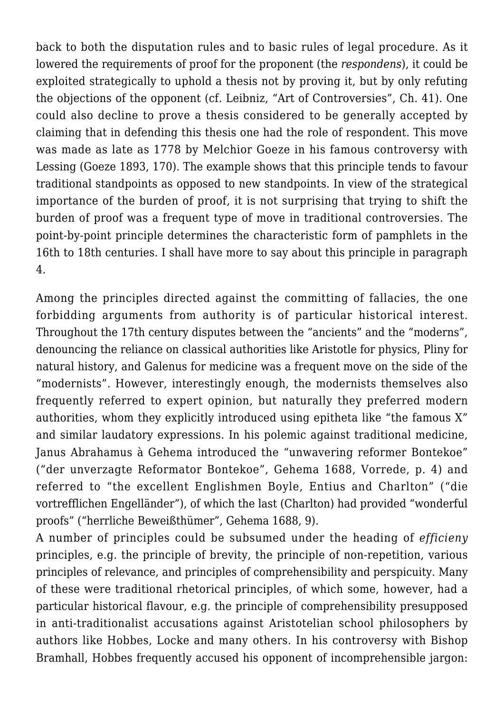back to both the disputation rules and to basic rules of legal procedure. As it lowered the requirements of proof for the proponent (the *respondens*), it could be exploited strategically to uphold a thesis not by proving it, but by only refuting the objections of the opponent (cf. Leibniz, "Art of Controversies", Ch. 41). One could also decline to prove a thesis considered to be generally accepted by claiming that in defending this thesis one had the role of respondent. This move was made as late as 1778 by Melchior Goeze in his famous controversy with Lessing (Goeze 1893, 170). The example shows that this principle tends to favour traditional standpoints as opposed to new standpoints. In view of the strategical importance of the burden of proof, it is not surprising that trying to shift the burden of proof was a frequent type of move in traditional controversies. The point-by-point principle determines the characteristic form of pamphlets in the 16th to 18th centuries. I shall have more to say about this principle in paragraph 4.

Among the principles directed against the committing of fallacies, the one forbidding arguments from authority is of particular historical interest. Throughout the 17th century disputes between the "ancients" and the "moderns", denouncing the reliance on classical authorities like Aristotle for physics, Pliny for natural history, and Galenus for medicine was a frequent move on the side of the "modernists". However, interestingly enough, the modernists themselves also frequently referred to expert opinion, but naturally they preferred modern authorities, whom they explicitly introduced using epitheta like "the famous X" and similar laudatory expressions. In his polemic against traditional medicine, Janus Abrahamus à Gehema introduced the "unwavering reformer Bontekoe" ("der unverzagte Reformator Bontekoe", Gehema 1688, Vorrede, p. 4) and referred to "the excellent Englishmen Boyle, Entius and Charlton" ("die vortrefflichen Engelländer"), of which the last (Charlton) had provided "wonderful proofs" ("herrliche Beweißthümer", Gehema 1688, 9).

A number of principles could be subsumed under the heading of *efficieny* principles, e.g. the principle of brevity, the principle of non-repetition, various principles of relevance, and principles of comprehensibility and perspicuity. Many of these were traditional rhetorical principles, of which some, however, had a particular historical flavour, e.g. the principle of comprehensibility presupposed in anti-traditionalist accusations against Aristotelian school philosophers by authors like Hobbes, Locke and many others. In his controversy with Bishop Bramhall, Hobbes frequently accused his opponent of incomprehensible jargon: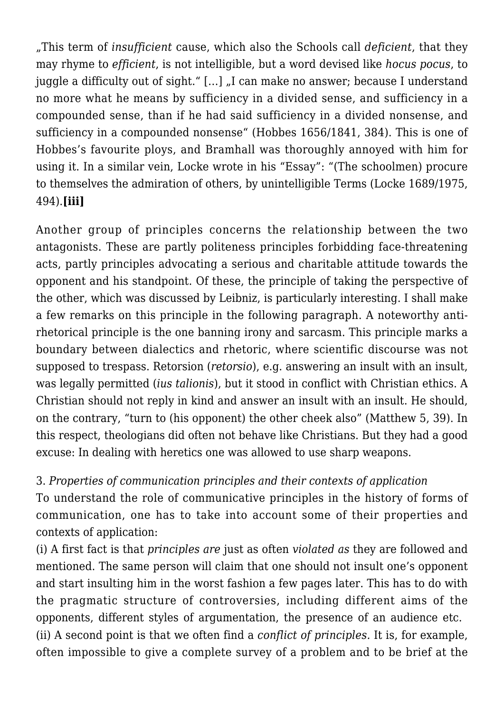"This term of *insufficient* cause, which also the Schools call *deficient*, that they may rhyme to *efficient*, is not intelligible, but a word devised like *hocus pocus*, to juggle a difficulty out of sight." [...] ...I can make no answer: because I understand no more what he means by sufficiency in a divided sense, and sufficiency in a compounded sense, than if he had said sufficiency in a divided nonsense, and sufficiency in a compounded nonsense" (Hobbes 1656/1841, 384). This is one of Hobbes's favourite ploys, and Bramhall was thoroughly annoyed with him for using it. In a similar vein, Locke wrote in his "Essay": "(The schoolmen) procure to themselves the admiration of others, by unintelligible Terms (Locke 1689/1975, 494).**[iii]**

Another group of principles concerns the relationship between the two antagonists. These are partly politeness principles forbidding face-threatening acts, partly principles advocating a serious and charitable attitude towards the opponent and his standpoint. Of these, the principle of taking the perspective of the other, which was discussed by Leibniz, is particularly interesting. I shall make a few remarks on this principle in the following paragraph. A noteworthy antirhetorical principle is the one banning irony and sarcasm. This principle marks a boundary between dialectics and rhetoric, where scientific discourse was not supposed to trespass. Retorsion (*retorsio*), e.g. answering an insult with an insult, was legally permitted (*ius talionis*), but it stood in conflict with Christian ethics. A Christian should not reply in kind and answer an insult with an insult. He should, on the contrary, "turn to (his opponent) the other cheek also" (Matthew 5, 39). In this respect, theologians did often not behave like Christians. But they had a good excuse: In dealing with heretics one was allowed to use sharp weapons.

# 3. *Properties of communication principles and their contexts of application*

To understand the role of communicative principles in the history of forms of communication, one has to take into account some of their properties and contexts of application:

(i) A first fact is that *principles are* just as often *violated as* they are followed and mentioned. The same person will claim that one should not insult one's opponent and start insulting him in the worst fashion a few pages later. This has to do with the pragmatic structure of controversies, including different aims of the opponents, different styles of argumentation, the presence of an audience etc. (ii) A second point is that we often find a *conflict of principles.* It is, for example, often impossible to give a complete survey of a problem and to be brief at the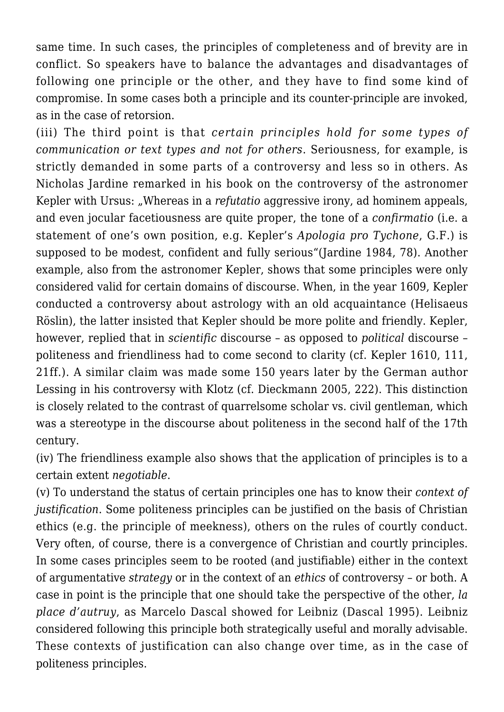same time. In such cases, the principles of completeness and of brevity are in conflict. So speakers have to balance the advantages and disadvantages of following one principle or the other, and they have to find some kind of compromise. In some cases both a principle and its counter-principle are invoked, as in the case of retorsion.

(iii) The third point is that *certain principles hold for some types of communication or text types and not for others*. Seriousness, for example, is strictly demanded in some parts of a controversy and less so in others. As Nicholas Jardine remarked in his book on the controversy of the astronomer Kepler with Ursus: "Whereas in a *refutatio* aggressive irony, ad hominem appeals, and even jocular facetiousness are quite proper, the tone of a *confirmatio* (i.e. a statement of one's own position, e.g. Kepler's *Apologia pro Tychone*, G.F.) is supposed to be modest, confident and fully serious"(Jardine 1984, 78). Another example, also from the astronomer Kepler, shows that some principles were only considered valid for certain domains of discourse. When, in the year 1609, Kepler conducted a controversy about astrology with an old acquaintance (Helisaeus Röslin), the latter insisted that Kepler should be more polite and friendly. Kepler, however, replied that in *scientific* discourse – as opposed to *political* discourse – politeness and friendliness had to come second to clarity (cf. Kepler 1610, 111, 21ff.). A similar claim was made some 150 years later by the German author Lessing in his controversy with Klotz (cf. Dieckmann 2005, 222). This distinction is closely related to the contrast of quarrelsome scholar vs. civil gentleman, which was a stereotype in the discourse about politeness in the second half of the 17th century.

(iv) The friendliness example also shows that the application of principles is to a certain extent *negotiable*.

(v) To understand the status of certain principles one has to know their *context of justification*. Some politeness principles can be justified on the basis of Christian ethics (e.g. the principle of meekness), others on the rules of courtly conduct. Very often, of course, there is a convergence of Christian and courtly principles. In some cases principles seem to be rooted (and justifiable) either in the context of argumentative *strategy* or in the context of an *ethics* of controversy – or both. A case in point is the principle that one should take the perspective of the other, *la place d'autruy*, as Marcelo Dascal showed for Leibniz (Dascal 1995). Leibniz considered following this principle both strategically useful and morally advisable. These contexts of justification can also change over time, as in the case of politeness principles.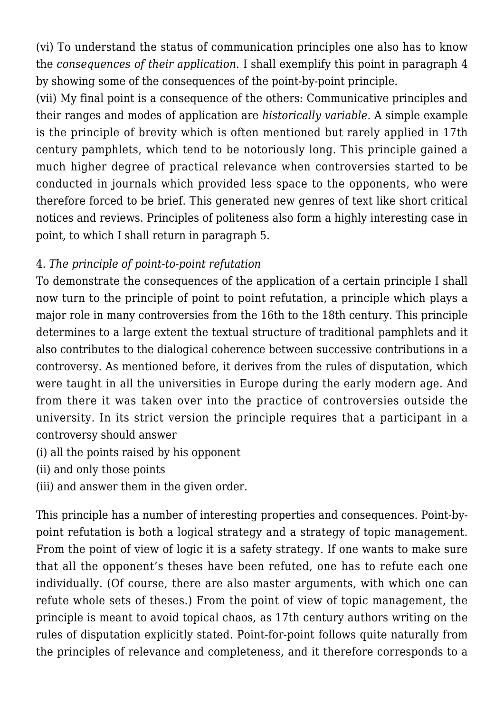(vi) To understand the status of communication principles one also has to know the *consequences of their application*. I shall exemplify this point in paragraph 4 by showing some of the consequences of the point-by-point principle.

(vii) My final point is a consequence of the others: Communicative principles and their ranges and modes of application are *historically variable.* A simple example is the principle of brevity which is often mentioned but rarely applied in 17th century pamphlets, which tend to be notoriously long. This principle gained a much higher degree of practical relevance when controversies started to be conducted in journals which provided less space to the opponents, who were therefore forced to be brief. This generated new genres of text like short critical notices and reviews. Principles of politeness also form a highly interesting case in point, to which I shall return in paragraph 5.

# 4. *The principle of point-to-point refutation*

To demonstrate the consequences of the application of a certain principle I shall now turn to the principle of point to point refutation, a principle which plays a major role in many controversies from the 16th to the 18th century. This principle determines to a large extent the textual structure of traditional pamphlets and it also contributes to the dialogical coherence between successive contributions in a controversy. As mentioned before, it derives from the rules of disputation, which were taught in all the universities in Europe during the early modern age. And from there it was taken over into the practice of controversies outside the university. In its strict version the principle requires that a participant in a controversy should answer

- (i) all the points raised by his opponent
- (ii) and only those points
- (iii) and answer them in the given order.

This principle has a number of interesting properties and consequences. Point-bypoint refutation is both a logical strategy and a strategy of topic management. From the point of view of logic it is a safety strategy. If one wants to make sure that all the opponent's theses have been refuted, one has to refute each one individually. (Of course, there are also master arguments, with which one can refute whole sets of theses.) From the point of view of topic management, the principle is meant to avoid topical chaos, as 17th century authors writing on the rules of disputation explicitly stated. Point-for-point follows quite naturally from the principles of relevance and completeness, and it therefore corresponds to a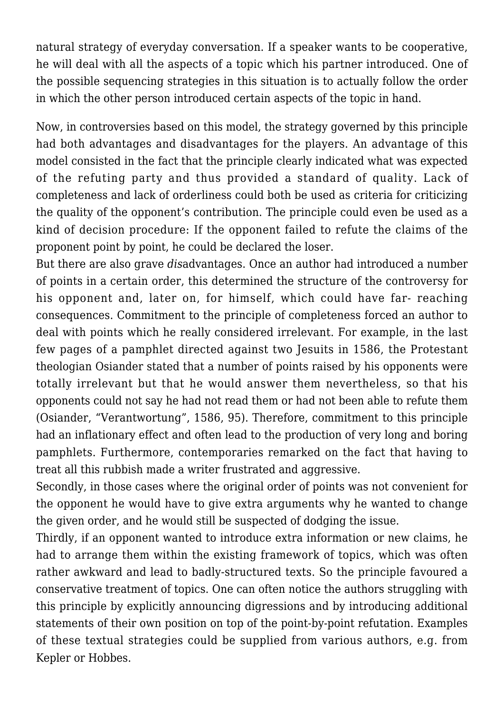natural strategy of everyday conversation. If a speaker wants to be cooperative, he will deal with all the aspects of a topic which his partner introduced. One of the possible sequencing strategies in this situation is to actually follow the order in which the other person introduced certain aspects of the topic in hand.

Now, in controversies based on this model, the strategy governed by this principle had both advantages and disadvantages for the players. An advantage of this model consisted in the fact that the principle clearly indicated what was expected of the refuting party and thus provided a standard of quality. Lack of completeness and lack of orderliness could both be used as criteria for criticizing the quality of the opponent's contribution. The principle could even be used as a kind of decision procedure: If the opponent failed to refute the claims of the proponent point by point, he could be declared the loser.

But there are also grave *dis*advantages. Once an author had introduced a number of points in a certain order, this determined the structure of the controversy for his opponent and, later on, for himself, which could have far- reaching consequences. Commitment to the principle of completeness forced an author to deal with points which he really considered irrelevant. For example, in the last few pages of a pamphlet directed against two Jesuits in 1586, the Protestant theologian Osiander stated that a number of points raised by his opponents were totally irrelevant but that he would answer them nevertheless, so that his opponents could not say he had not read them or had not been able to refute them (Osiander, "Verantwortung", 1586, 95). Therefore, commitment to this principle had an inflationary effect and often lead to the production of very long and boring pamphlets. Furthermore, contemporaries remarked on the fact that having to treat all this rubbish made a writer frustrated and aggressive.

Secondly, in those cases where the original order of points was not convenient for the opponent he would have to give extra arguments why he wanted to change the given order, and he would still be suspected of dodging the issue.

Thirdly, if an opponent wanted to introduce extra information or new claims, he had to arrange them within the existing framework of topics, which was often rather awkward and lead to badly-structured texts. So the principle favoured a conservative treatment of topics. One can often notice the authors struggling with this principle by explicitly announcing digressions and by introducing additional statements of their own position on top of the point-by-point refutation. Examples of these textual strategies could be supplied from various authors, e.g. from Kepler or Hobbes.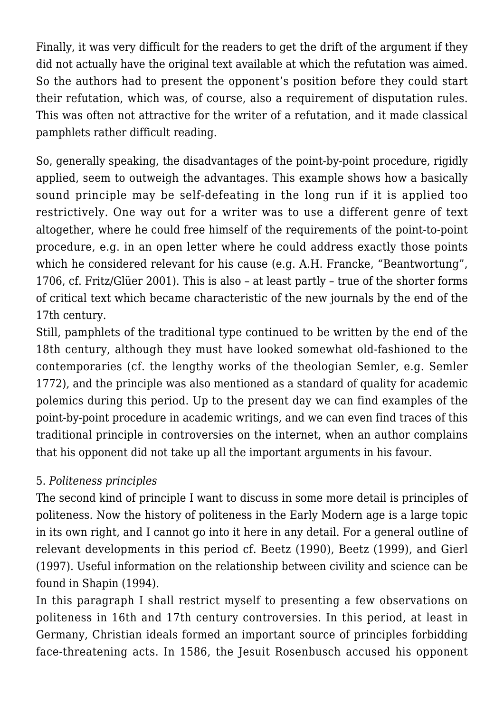Finally, it was very difficult for the readers to get the drift of the argument if they did not actually have the original text available at which the refutation was aimed. So the authors had to present the opponent's position before they could start their refutation, which was, of course, also a requirement of disputation rules. This was often not attractive for the writer of a refutation, and it made classical pamphlets rather difficult reading.

So, generally speaking, the disadvantages of the point-by-point procedure, rigidly applied, seem to outweigh the advantages. This example shows how a basically sound principle may be self-defeating in the long run if it is applied too restrictively. One way out for a writer was to use a different genre of text altogether, where he could free himself of the requirements of the point-to-point procedure, e.g. in an open letter where he could address exactly those points which he considered relevant for his cause (e.g. A.H. Francke, "Beantwortung", 1706, cf. Fritz/Glüer 2001). This is also – at least partly – true of the shorter forms of critical text which became characteristic of the new journals by the end of the 17th century.

Still, pamphlets of the traditional type continued to be written by the end of the 18th century, although they must have looked somewhat old-fashioned to the contemporaries (cf. the lengthy works of the theologian Semler, e.g. Semler 1772), and the principle was also mentioned as a standard of quality for academic polemics during this period. Up to the present day we can find examples of the point-by-point procedure in academic writings, and we can even find traces of this traditional principle in controversies on the internet, when an author complains that his opponent did not take up all the important arguments in his favour.

## 5. *Politeness principles*

The second kind of principle I want to discuss in some more detail is principles of politeness. Now the history of politeness in the Early Modern age is a large topic in its own right, and I cannot go into it here in any detail. For a general outline of relevant developments in this period cf. Beetz (1990), Beetz (1999), and Gierl (1997). Useful information on the relationship between civility and science can be found in Shapin (1994).

In this paragraph I shall restrict myself to presenting a few observations on politeness in 16th and 17th century controversies. In this period, at least in Germany, Christian ideals formed an important source of principles forbidding face-threatening acts. In 1586, the Jesuit Rosenbusch accused his opponent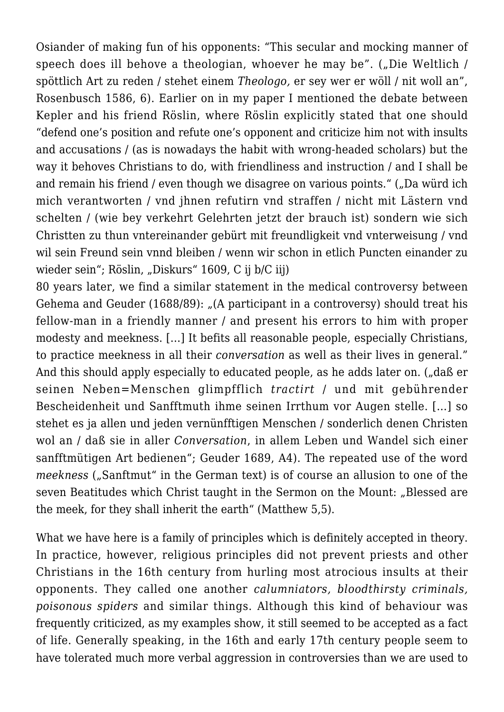Osiander of making fun of his opponents: "This secular and mocking manner of speech does ill behove a theologian, whoever he may be". ("Die Weltlich / spöttlich Art zu reden / stehet einem *Theologo,* er sey wer er wöll / nit woll an", Rosenbusch 1586, 6). Earlier on in my paper I mentioned the debate between Kepler and his friend Röslin, where Röslin explicitly stated that one should "defend one's position and refute one's opponent and criticize him not with insults and accusations / (as is nowadays the habit with wrong-headed scholars) but the way it behoves Christians to do, with friendliness and instruction / and I shall be and remain his friend / even though we disagree on various points." ("Da würd ich mich verantworten / vnd jhnen refutirn vnd straffen / nicht mit Lästern vnd schelten / (wie bey verkehrt Gelehrten jetzt der brauch ist) sondern wie sich Christten zu thun vntereinander gebürt mit freundligkeit vnd vnterweisung / vnd wil sein Freund sein vnnd bleiben / wenn wir schon in etlich Puncten einander zu wieder sein"; Röslin, "Diskurs" 1609, C ij b/C iij)

80 years later, we find a similar statement in the medical controversy between Gehema and Geuder (1688/89): "(A participant in a controversy) should treat his fellow-man in a friendly manner / and present his errors to him with proper modesty and meekness. […] It befits all reasonable people, especially Christians, to practice meekness in all their *conversation* as well as their lives in general." And this should apply especially to educated people, as he adds later on. ("daß er seinen Neben=Menschen glimpfflich *tractirt* / und mit gebührender Bescheidenheit und Sanfftmuth ihme seinen Irrthum vor Augen stelle. […] so stehet es ja allen und jeden vernünfftigen Menschen / sonderlich denen Christen wol an / daß sie in aller *Conversation*, in allem Leben und Wandel sich einer sanfftmütigen Art bedienen"; Geuder 1689, A4). The repeated use of the word *meekness* ("Sanftmut" in the German text) is of course an allusion to one of the seven Beatitudes which Christ taught in the Sermon on the Mount: "Blessed are the meek, for they shall inherit the earth" (Matthew 5,5).

What we have here is a family of principles which is definitely accepted in theory. In practice, however, religious principles did not prevent priests and other Christians in the 16th century from hurling most atrocious insults at their opponents. They called one another *calumniators, bloodthirsty criminals, poisonous spiders* and similar things. Although this kind of behaviour was frequently criticized, as my examples show, it still seemed to be accepted as a fact of life. Generally speaking, in the 16th and early 17th century people seem to have tolerated much more verbal aggression in controversies than we are used to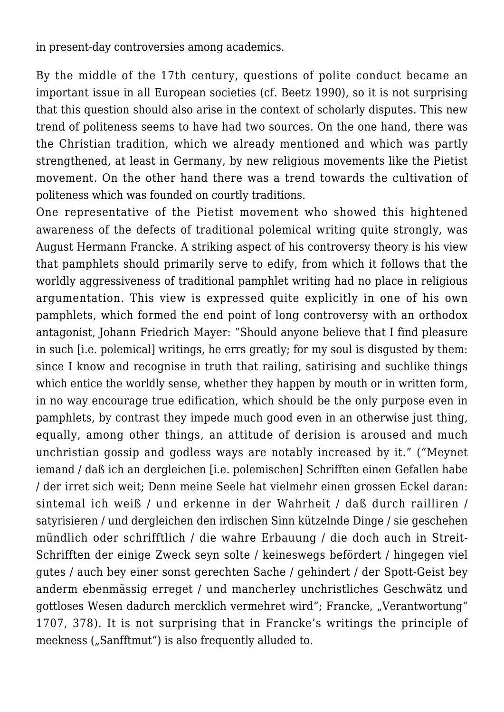in present-day controversies among academics.

By the middle of the 17th century, questions of polite conduct became an important issue in all European societies (cf. Beetz 1990), so it is not surprising that this question should also arise in the context of scholarly disputes. This new trend of politeness seems to have had two sources. On the one hand, there was the Christian tradition, which we already mentioned and which was partly strengthened, at least in Germany, by new religious movements like the Pietist movement. On the other hand there was a trend towards the cultivation of politeness which was founded on courtly traditions.

One representative of the Pietist movement who showed this hightened awareness of the defects of traditional polemical writing quite strongly, was August Hermann Francke. A striking aspect of his controversy theory is his view that pamphlets should primarily serve to edify, from which it follows that the worldly aggressiveness of traditional pamphlet writing had no place in religious argumentation. This view is expressed quite explicitly in one of his own pamphlets, which formed the end point of long controversy with an orthodox antagonist, Johann Friedrich Mayer: "Should anyone believe that I find pleasure in such [i.e. polemical] writings, he errs greatly; for my soul is disgusted by them: since I know and recognise in truth that railing, satirising and suchlike things which entice the worldly sense, whether they happen by mouth or in written form. in no way encourage true edification, which should be the only purpose even in pamphlets, by contrast they impede much good even in an otherwise just thing, equally, among other things, an attitude of derision is aroused and much unchristian gossip and godless ways are notably increased by it." ("Meynet iemand / daß ich an dergleichen [i.e. polemischen] Schrifften einen Gefallen habe / der irret sich weit; Denn meine Seele hat vielmehr einen grossen Eckel daran: sintemal ich weiß / und erkenne in der Wahrheit / daß durch railliren / satyrisieren / und dergleichen den irdischen Sinn kützelnde Dinge / sie geschehen mündlich oder schrifftlich / die wahre Erbauung / die doch auch in Streit-Schrifften der einige Zweck seyn solte / keineswegs befördert / hingegen viel gutes / auch bey einer sonst gerechten Sache / gehindert / der Spott-Geist bey anderm ebenmässig erreget / und mancherley unchristliches Geschwätz und gottloses Wesen dadurch mercklich vermehret wird"; Francke, "Verantwortung" 1707, 378). It is not surprising that in Francke's writings the principle of meekness ("Sanfftmut") is also frequently alluded to.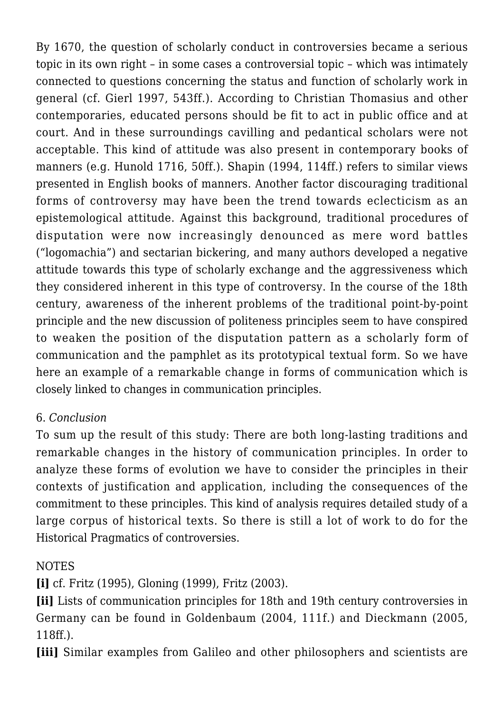By 1670, the question of scholarly conduct in controversies became a serious topic in its own right – in some cases a controversial topic – which was intimately connected to questions concerning the status and function of scholarly work in general (cf. Gierl 1997, 543ff.). According to Christian Thomasius and other contemporaries, educated persons should be fit to act in public office and at court. And in these surroundings cavilling and pedantical scholars were not acceptable. This kind of attitude was also present in contemporary books of manners (e.g. Hunold 1716, 50ff.). Shapin (1994, 114ff.) refers to similar views presented in English books of manners. Another factor discouraging traditional forms of controversy may have been the trend towards eclecticism as an epistemological attitude. Against this background, traditional procedures of disputation were now increasingly denounced as mere word battles ("logomachia") and sectarian bickering, and many authors developed a negative attitude towards this type of scholarly exchange and the aggressiveness which they considered inherent in this type of controversy. In the course of the 18th century, awareness of the inherent problems of the traditional point-by-point principle and the new discussion of politeness principles seem to have conspired to weaken the position of the disputation pattern as a scholarly form of communication and the pamphlet as its prototypical textual form. So we have here an example of a remarkable change in forms of communication which is closely linked to changes in communication principles.

## 6. *Conclusion*

To sum up the result of this study: There are both long-lasting traditions and remarkable changes in the history of communication principles. In order to analyze these forms of evolution we have to consider the principles in their contexts of justification and application, including the consequences of the commitment to these principles. This kind of analysis requires detailed study of a large corpus of historical texts. So there is still a lot of work to do for the Historical Pragmatics of controversies.

## NOTES

**[i]** cf. Fritz (1995), Gloning (1999), Fritz (2003).

**[ii]** Lists of communication principles for 18th and 19th century controversies in Germany can be found in Goldenbaum (2004, 111f.) and Dieckmann (2005, 118ff.).

**[iii]** Similar examples from Galileo and other philosophers and scientists are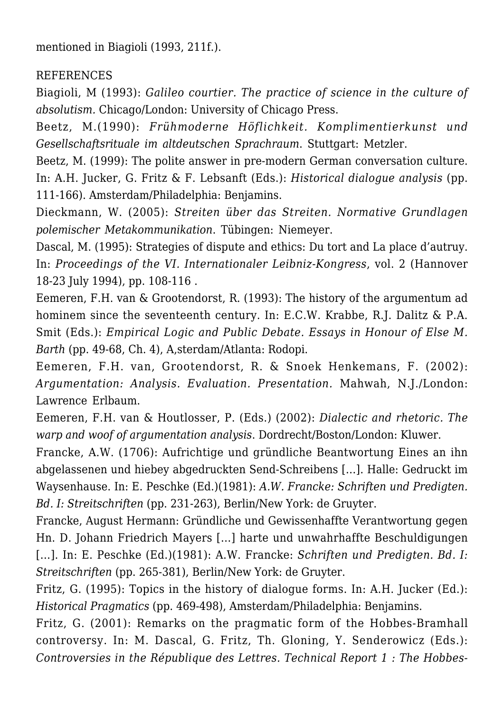mentioned in Biagioli (1993, 211f.).

#### REFERENCES

Biagioli, M (1993): *Galileo courtier. The practice of science in the culture of absolutism.* Chicago/London: University of Chicago Press.

Beetz, M.(1990): *Frühmoderne Höflichkeit. Komplimentierkunst und Gesellschaftsrituale im altdeutschen Sprachraum*. Stuttgart: Metzler.

Beetz, M. (1999): The polite answer in pre-modern German conversation culture. In: A.H. Jucker, G. Fritz & F. Lebsanft (Eds.): *Historical dialogue analysis* (pp. 111-166). Amsterdam/Philadelphia: Benjamins.

Dieckmann, W. (2005): *Streiten über das Streiten. Normative Grundlagen polemischer Metakommunikation*. Tübingen: Niemeyer.

Dascal, M. (1995): Strategies of dispute and ethics: Du tort and La place d'autruy. In: *Proceedings of the VI. Internationaler Leibniz-Kongress*, vol. 2 (Hannover 18-23 July 1994), pp. 108-116 .

Eemeren, F.H. van & Grootendorst, R. (1993): The history of the argumentum ad hominem since the seventeenth century. In: E.C.W. Krabbe, R.J. Dalitz & P.A. Smit (Eds.): *Empirical Logic and Public Debate. Essays in Honour of Else M. Barth* (pp. 49-68, Ch. 4), A,sterdam/Atlanta: Rodopi.

Eemeren, F.H. van, Grootendorst, R. & Snoek Henkemans, F. (2002): *Argumentation: Analysis. Evaluation. Presentation.* Mahwah, N.J./London: Lawrence Erlbaum.

Eemeren, F.H. van & Houtlosser, P. (Eds.) (2002): *Dialectic and rhetoric. The warp and woof of argumentation analysis*. Dordrecht/Boston/London: Kluwer.

Francke, A.W. (1706): Aufrichtige und gründliche Beantwortung Eines an ihn abgelassenen und hiebey abgedruckten Send-Schreibens […]. Halle: Gedruckt im Waysenhause. In: E. Peschke (Ed.)(1981): *A.W. Francke: Schriften und Predigten. Bd. I: Streitschriften* (pp. 231-263), Berlin/New York: de Gruyter.

Francke, August Hermann: Gründliche und Gewissenhaffte Verantwortung gegen Hn. D. Johann Friedrich Mayers […] harte und unwahrhaffte Beschuldigungen […]. In: E. Peschke (Ed.)(1981): A.W. Francke: *Schriften und Predigten. Bd. I: Streitschriften* (pp. 265-381), Berlin/New York: de Gruyter.

Fritz, G. (1995): Topics in the history of dialogue forms. In: A.H. Jucker (Ed.): *Historical Pragmatics* (pp. 469-498), Amsterdam/Philadelphia: Benjamins.

Fritz, G. (2001): Remarks on the pragmatic form of the Hobbes-Bramhall controversy. In: M. Dascal, G. Fritz, Th. Gloning, Y. Senderowicz (Eds.): *Controversies in the République des Lettres. Technical Report 1 : The Hobbes-*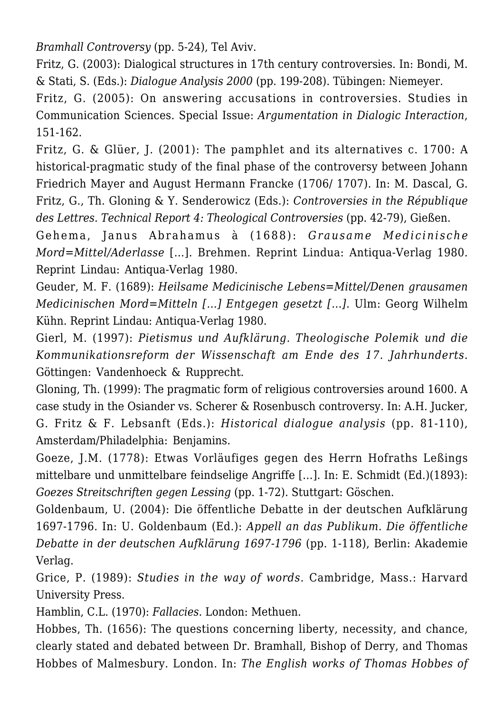*Bramhall Controversy* (pp. 5-24), Tel Aviv.

Fritz, G. (2003): Dialogical structures in 17th century controversies. In: Bondi, M. & Stati, S. (Eds.): *Dialogue Analysis 2000* (pp. 199-208). Tübingen: Niemeyer.

Fritz, G. (2005): On answering accusations in controversies. Studies in Communication Sciences. Special Issue: *Argumentation in Dialogic Interaction*, 151-162.

Fritz, G. & Glüer, J. (2001): The pamphlet and its alternatives c. 1700: A historical-pragmatic study of the final phase of the controversy between Johann Friedrich Mayer and August Hermann Francke (1706/ 1707). In: M. Dascal, G. Fritz, G., Th. Gloning & Y. Senderowicz (Eds.): *Controversies in the République des Lettres. Technical Report 4: Theological Controversies* (pp. 42-79), Gießen.

Gehema, Janus Abrahamus à (1688): *Grausame Medicinische Mord=Mittel/Aderlasse* […]. Brehmen. Reprint Lindua: Antiqua-Verlag 1980. Reprint Lindau: Antiqua-Verlag 1980.

Geuder, M. F. (1689): *Heilsame Medicinische Lebens=Mittel/Denen grausamen Medicinischen Mord=Mitteln […] Entgegen gesetzt […].* Ulm: Georg Wilhelm Kühn. Reprint Lindau: Antiqua-Verlag 1980.

Gierl, M. (1997): *Pietismus und Aufklärung. Theologische Polemik und die Kommunikationsreform der Wissenschaft am Ende des 17. Jahrhunderts.* Göttingen: Vandenhoeck & Rupprecht.

Gloning, Th. (1999): The pragmatic form of religious controversies around 1600. A case study in the Osiander vs. Scherer & Rosenbusch controversy. In: A.H. Jucker, G. Fritz & F. Lebsanft (Eds.): *Historical dialogue analysis* (pp. 81-110), Amsterdam/Philadelphia: Benjamins.

Goeze, J.M. (1778): Etwas Vorläufiges gegen des Herrn Hofraths Leßings mittelbare und unmittelbare feindselige Angriffe […]. In: E. Schmidt (Ed.)(1893): *Goezes Streitschriften gegen Lessing* (pp. 1-72). Stuttgart: Göschen.

Goldenbaum, U. (2004): Die öffentliche Debatte in der deutschen Aufklärung 1697-1796. In: U. Goldenbaum (Ed.): *Appell an das Publikum. Die öffentliche Debatte in der deutschen Aufklärung 1697-1796* (pp. 1-118), Berlin: Akademie Verlag.

Grice, P. (1989): *Studies in the way of words.* Cambridge, Mass.: Harvard University Press.

Hamblin, C.L. (1970): *Fallacies.* London: Methuen.

Hobbes, Th. (1656): The questions concerning liberty, necessity, and chance, clearly stated and debated between Dr. Bramhall, Bishop of Derry, and Thomas Hobbes of Malmesbury. London. In: *The English works of Thomas Hobbes of*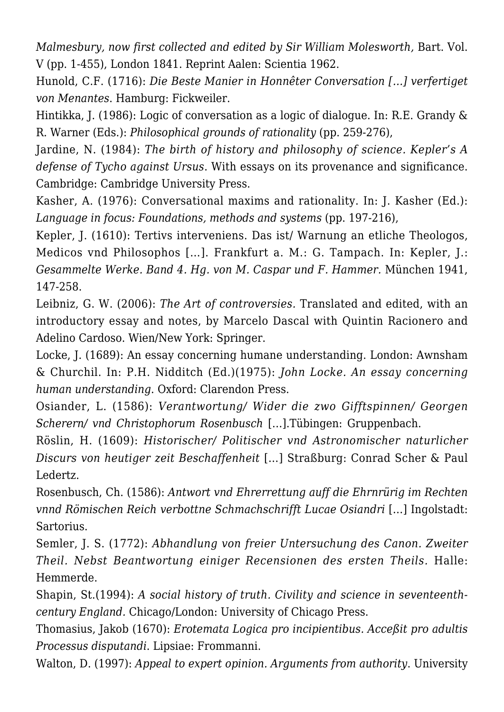*Malmesbury, now first collected and edited by Sir William Molesworth,* Bart. Vol. V (pp. 1-455), London 1841. Reprint Aalen: Scientia 1962.

Hunold, C.F. (1716): *Die Beste Manier in Honnêter Conversation […] verfertiget von Menantes*. Hamburg: Fickweiler.

Hintikka, J. (1986): Logic of conversation as a logic of dialogue. In: R.E. Grandy & R. Warner (Eds.): *Philosophical grounds of rationality* (pp. 259-276),

Jardine, N. (1984): *The birth of history and philosophy of science. Kepler's A defense of Tycho against Ursus*. With essays on its provenance and significance. Cambridge: Cambridge University Press.

Kasher, A. (1976): Conversational maxims and rationality. In: J. Kasher (Ed.): *Language in focus: Foundations, methods and systems* (pp. 197-216),

Kepler, J. (1610): Tertivs interveniens. Das ist/ Warnung an etliche Theologos, Medicos vnd Philosophos […]. Frankfurt a. M.: G. Tampach. In: Kepler, J.: *Gesammelte Werke. Band 4. Hg. von M. Caspar und F. Hammer.* München 1941, 147-258.

Leibniz, G. W. (2006): *The Art of controversies.* Translated and edited, with an introductory essay and notes, by Marcelo Dascal with Quintin Racionero and Adelino Cardoso. Wien/New York: Springer.

Locke, J. (1689): An essay concerning humane understanding. London: Awnsham & Churchil. In: P.H. Nidditch (Ed.)(1975): *John Locke. An essay concerning human understanding*. Oxford: Clarendon Press.

Osiander, L. (1586): *Verantwortung/ Wider die zwo Gifftspinnen/ Georgen Scherern/ vnd Christophorum Rosenbusch* […].Tübingen: Gruppenbach.

Röslin, H. (1609): *Historischer/ Politischer vnd Astronomischer naturlicher Discurs von heutiger zeit Beschaffenheit* […] Straßburg: Conrad Scher & Paul Ledertz.

Rosenbusch, Ch. (1586): *Antwort vnd Ehrerrettung auff die Ehrnrürig im Rechten vnnd Römischen Reich verbottne Schmachschrifft Lucae Osiandri* […] Ingolstadt: Sartorius.

Semler, J. S. (1772): *Abhandlung von freier Untersuchung des Canon. Zweiter Theil. Nebst Beantwortung einiger Recensionen des ersten Theils.* Halle: Hemmerde.

Shapin, St.(1994): *A social history of truth. Civility and science in seventeenthcentury England.* Chicago/London: University of Chicago Press.

Thomasius, Jakob (1670): *Erotemata Logica pro incipientibus. Acceßit pro adultis Processus disputandi*. Lipsiae: Frommanni.

Walton, D. (1997): *Appeal to expert opinion. Arguments from authority*. University